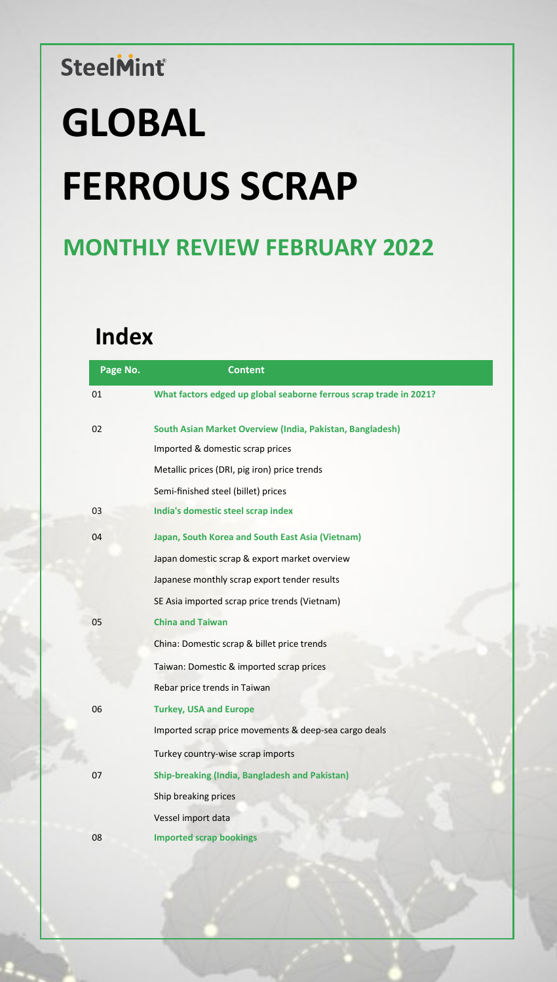# **GLOBAL FERROUS SCRAP**

# **MONTHLY REVIEW FEBRUARY 2022**

# **Index**

| Page No. | <b>Content</b>                                                     |
|----------|--------------------------------------------------------------------|
| 01       | What factors edged up global seaborne ferrous scrap trade in 2021? |
| 02       | South Asian Market Overview (India, Pakistan, Bangladesh)          |
|          | Imported & domestic scrap prices                                   |
|          | Metallic prices (DRI, pig iron) price trends                       |
|          | Semi-finished steel (billet) prices                                |
| 03       | India's domestic steel scrap index                                 |
| 04       | Japan, South Korea and South East Asia (Vietnam)                   |
|          | Japan domestic scrap & export market overview                      |
|          | Japanese monthly scrap export tender results                       |
|          | SE Asia imported scrap price trends (Vietnam)                      |
| 05       | <b>China and Taiwan</b>                                            |
|          | China: Domestic scrap & billet price trends                        |
|          | Taiwan: Domestic & imported scrap prices                           |
|          | Rebar price trends in Taiwan                                       |
| 06       | <b>Turkey, USA and Europe</b>                                      |
|          | Imported scrap price movements & deep-sea cargo deals              |
|          | Turkey country-wise scrap imports                                  |
| 07       | <b>Ship-breaking (India, Bangladesh and Pakistan)</b>              |
|          | Ship breaking prices                                               |
|          | Vessel import data                                                 |
| 08       | <b>Imported scrap bookings</b>                                     |
|          |                                                                    |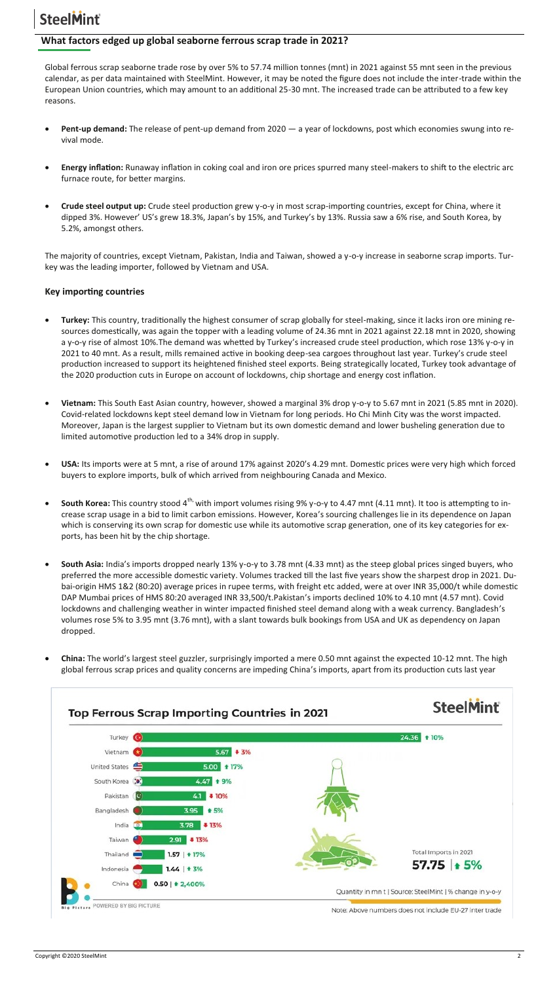#### **What factors edged up global seaborne ferrous scrap trade in 2021?**

Global ferrous scrap seaborne trade rose by over 5% to 57.74 million tonnes (mnt) in 2021 against 55 mnt seen in the previous calendar, as per data maintained with SteelMint. However, it may be noted the figure does not include the inter-trade within the European Union countries, which may amount to an additional 25-30 mnt. The increased trade can be attributed to a few key reasons.

- **Pent-up demand:** The release of pent-up demand from 2020 a year of lockdowns, post which economies swung into revival mode.
- **Energy inflation:** Runaway inflation in coking coal and iron ore prices spurred many steel-makers to shift to the electric arc furnace route, for better margins.
- **Crude steel output up:** Crude steel production grew y-o-y in most scrap-importing countries, except for China, where it dipped 3%. However' US's grew 18.3%, Japan's by 15%, and Turkey's by 13%. Russia saw a 6% rise, and South Korea, by 5.2%, amongst others.

The majority of countries, except Vietnam, Pakistan, India and Taiwan, showed a y-o-y increase in seaborne scrap imports. Turkey was the leading importer, followed by Vietnam and USA.

#### **Key importing countries**

- **Turkey:** This country, traditionally the highest consumer of scrap globally for steel-making, since it lacks iron ore mining resources domestically, was again the topper with a leading volume of 24.36 mnt in 2021 against 22.18 mnt in 2020, showing a y-o-y rise of almost 10%.The demand was whetted by Turkey's increased crude steel production, which rose 13% y-o-y in 2021 to 40 mnt. As a result, mills remained active in booking deep-sea cargoes throughout last year. Turkey's crude steel production increased to support its heightened finished steel exports. Being strategically located, Turkey took advantage of the 2020 production cuts in Europe on account of lockdowns, chip shortage and energy cost inflation.
- **Vietnam:** This South East Asian country, however, showed a marginal 3% drop y-o-y to 5.67 mnt in 2021 (5.85 mnt in 2020). Covid-related lockdowns kept steel demand low in Vietnam for long periods. Ho Chi Minh City was the worst impacted. Moreover, Japan is the largest supplier to Vietnam but its own domestic demand and lower busheling generation due to limited automotive production led to a 34% drop in supply.
- **USA:** Its imports were at 5 mnt, a rise of around 17% against 2020's 4.29 mnt. Domestic prices were very high which forced buyers to explore imports, bulk of which arrived from neighbouring Canada and Mexico.
- South Korea: This country stood 4<sup>th,</sup> with import volumes rising 9% y-o-y to 4.47 mnt (4.11 mnt). It too is attempting to increase scrap usage in a bid to limit carbon emissions. However, Korea's sourcing challenges lie in its dependence on Japan which is conserving its own scrap for domestic use while its automotive scrap generation, one of its key categories for exports, has been hit by the chip shortage.
- **South Asia:** India's imports dropped nearly 13% y-o-y to 3.78 mnt (4.33 mnt) as the steep global prices singed buyers, who preferred the more accessible domestic variety. Volumes tracked till the last five years show the sharpest drop in 2021. Dubai-origin HMS 1&2 (80:20) average prices in rupee terms, with freight etc added, were at over INR 35,000/t while domestic DAP Mumbai prices of HMS 80:20 averaged INR 33,500/t.Pakistan's imports declined 10% to 4.10 mnt (4.57 mnt). Covid lockdowns and challenging weather in winter impacted finished steel demand along with a weak currency. Bangladesh's volumes rose 5% to 3.95 mnt (3.76 mnt), with a slant towards bulk bookings from USA and UK as dependency on Japan dropped.
- **China:** The world's largest steel guzzler, surprisingly imported a mere 0.50 mnt against the expected 10-12 mnt. The high global ferrous scrap prices and quality concerns are impeding China's imports, apart from its production cuts last year



Copyright ©2020 SteelMint 2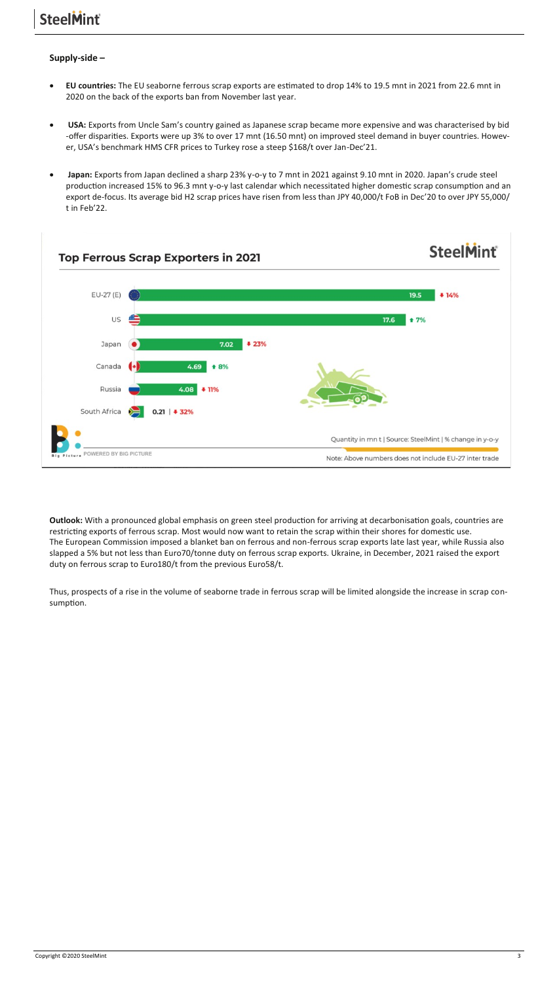#### **Supply-side –**

- **EU countries:** The EU seaborne ferrous scrap exports are estimated to drop 14% to 19.5 mnt in 2021 from 22.6 mnt in 2020 on the back of the exports ban from November last year.
- **USA:** Exports from Uncle Sam's country gained as Japanese scrap became more expensive and was characterised by bid -offer disparities. Exports were up 3% to over 17 mnt (16.50 mnt) on improved steel demand in buyer countries. However, USA's benchmark HMS CFR prices to Turkey rose a steep \$168/t over Jan-Dec'21.
- **Japan:** Exports from Japan declined a sharp 23% y-o-y to 7 mnt in 2021 against 9.10 mnt in 2020. Japan's crude steel production increased 15% to 96.3 mnt y-o-y last calendar which necessitated higher domestic scrap consumption and an export de-focus. Its average bid H2 scrap prices have risen from less than JPY 40,000/t FoB in Dec'20 to over JPY 55,000/ t in Feb'22.



**Outlook:** With a pronounced global emphasis on green steel production for arriving at decarbonisation goals, countries are restricting exports of ferrous scrap. Most would now want to retain the scrap within their shores for domestic use. The European Commission imposed a blanket ban on ferrous and non-ferrous scrap exports late last year, while Russia also slapped a 5% but not less than Euro70/tonne duty on ferrous scrap exports. Ukraine, in December, 2021 raised the export duty on ferrous scrap to Euro180/t from the previous Euro58/t.

Thus, prospects of a rise in the volume of seaborne trade in ferrous scrap will be limited alongside the increase in scrap consumption.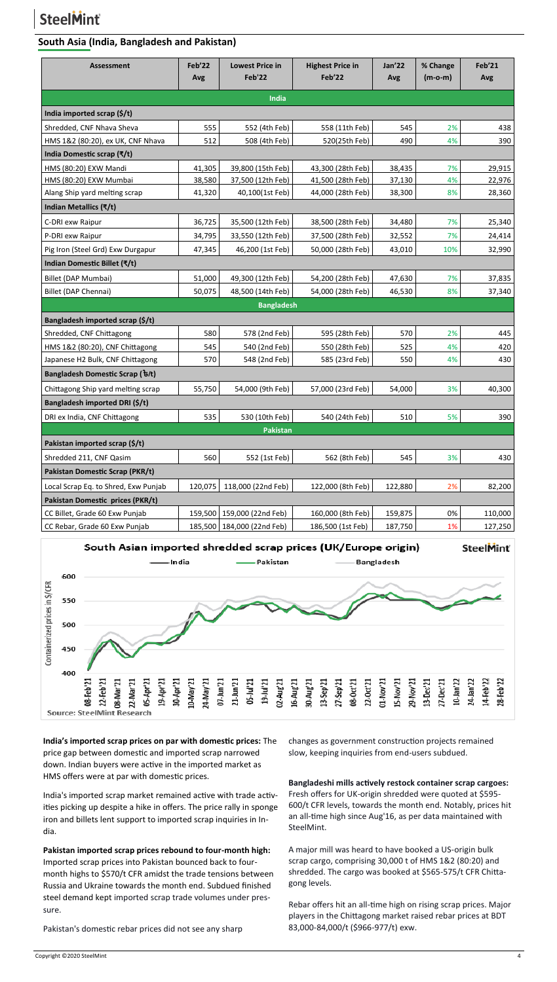#### **South Asia (India, Bangladesh and Pakistan)**

| <b>Assessment</b>                                               | Feb'22<br>Avg    | <b>Lowest Price in</b><br>Feb'22       | <b>Highest Price in</b><br>Feb'22      | <b>Jan'22</b><br>Avg | % Change<br>$(m-o-m)$ | Feb'21<br>Avg    |  |  |
|-----------------------------------------------------------------|------------------|----------------------------------------|----------------------------------------|----------------------|-----------------------|------------------|--|--|
|                                                                 |                  | India                                  |                                        |                      |                       |                  |  |  |
| India imported scrap $(\frac{2}{3})$                            |                  |                                        |                                        |                      |                       |                  |  |  |
|                                                                 |                  |                                        |                                        |                      |                       |                  |  |  |
| Shredded, CNF Nhava Sheva                                       | 555              | 552 (4th Feb)                          | 558 (11th Feb)                         | 545                  | 2%                    | 438              |  |  |
| HMS 1&2 (80:20), ex UK, CNF Nhava<br>India Domestic scrap (₹/t) | 512              | 508 (4th Feb)                          | 520(25th Feb)                          | 490                  | 4%                    | 390              |  |  |
|                                                                 |                  |                                        |                                        |                      |                       |                  |  |  |
| HMS (80:20) EXW Mandi<br>HMS (80:20) EXW Mumbai                 | 41,305<br>38,580 | 39,800 (15th Feb)<br>37,500 (12th Feb) | 43,300 (28th Feb)<br>41,500 (28th Feb) | 38,435<br>37,130     | 7%<br>4%              | 29,915<br>22,976 |  |  |
| Alang Ship yard melting scrap                                   | 41,320           | 40,100(1st Feb)                        | 44,000 (28th Feb)                      | 38,300               | 8%                    | 28,360           |  |  |
| Indian Metallics (₹/t)                                          |                  |                                        |                                        |                      |                       |                  |  |  |
| C-DRI exw Raipur                                                | 36,725           | 35,500 (12th Feb)                      | 38,500 (28th Feb)                      | 34,480               | 7%                    | 25,340           |  |  |
| P-DRI exw Raipur                                                | 34,795           | 33,550 (12th Feb)                      | 37,500 (28th Feb)                      | 32,552               | 7%                    | 24,414           |  |  |
| Pig Iron (Steel Grd) Exw Durgapur                               | 47,345           | 46,200 (1st Feb)                       | 50,000 (28th Feb)                      | 43,010               | 10%                   | 32,990           |  |  |
| Indian Domestic Billet (₹/t)                                    |                  |                                        |                                        |                      |                       |                  |  |  |
| Billet (DAP Mumbai)                                             | 51,000           | 49,300 (12th Feb)                      | 54,200 (28th Feb)                      | 47,630               | 7%                    | 37,835           |  |  |
| Billet (DAP Chennai)                                            | 50,075           | 48,500 (14th Feb)                      | 54,000 (28th Feb)                      | 46,530               | 8%                    | 37,340           |  |  |
|                                                                 |                  | <b>Bangladesh</b>                      |                                        |                      |                       |                  |  |  |
| Bangladesh imported scrap (\$/t)                                |                  |                                        |                                        |                      |                       |                  |  |  |
| Shredded, CNF Chittagong                                        | 580              | 578 (2nd Feb)                          | 595 (28th Feb)                         | 570                  | 2%                    | 445              |  |  |
| HMS 1&2 (80:20), CNF Chittagong                                 | 545              | 540 (2nd Feb)                          | 550 (28th Feb)                         | 525                  | 4%                    | 420              |  |  |
| Japanese H2 Bulk, CNF Chittagong                                | 570              | 548 (2nd Feb)                          | 585 (23rd Feb)                         | 550                  | 4%                    | 430              |  |  |
| Bangladesh Domestic Scrap ( ৳/t)                                |                  |                                        |                                        |                      |                       |                  |  |  |
| Chittagong Ship yard melting scrap                              | 55,750           | 54,000 (9th Feb)                       | 57,000 (23rd Feb)                      | 54,000               | 3%                    | 40,300           |  |  |
| Bangladesh imported DRI (\$/t)                                  |                  |                                        |                                        |                      |                       |                  |  |  |
| DRI ex India, CNF Chittagong                                    | 535              | 530 (10th Feb)                         | 540 (24th Feb)                         | 510                  | 5%                    | 390              |  |  |
|                                                                 |                  | Pakistan                               |                                        |                      |                       |                  |  |  |
| Pakistan imported scrap (\$/t)                                  |                  |                                        |                                        |                      |                       |                  |  |  |
| Shredded 211, CNF Qasim                                         | 560              | 552 (1st Feb)                          | 562 (8th Feb)                          | 545                  | 3%                    | 430              |  |  |
| Pakistan Domestic Scrap (PKR/t)                                 |                  |                                        |                                        |                      |                       |                  |  |  |
| Local Scrap Eq. to Shred, Exw Punjab                            | 120,075          | 118,000 (22nd Feb)                     | 122,000 (8th Feb)                      | 122,880              | 2%                    | 82,200           |  |  |
| Pakistan Domestic prices (PKR/t)                                |                  |                                        |                                        |                      |                       |                  |  |  |
| CC Billet, Grade 60 Exw Punjab                                  | 159,500          | 159,000 (22nd Feb)                     | 160,000 (8th Feb)                      | 159,875              | 0%                    | 110,000          |  |  |
| CC Rebar, Grade 60 Exw Punjab                                   | 185,500          | 184,000 (22nd Feb)                     | 186,500 (1st Feb)                      | 187,750              | 1%                    | 127,250          |  |  |



**India's imported scrap prices on par with domestic prices:** The price gap between domestic and imported scrap narrowed down. Indian buyers were active in the imported market as HMS offers were at par with domestic prices.

India's imported scrap market remained active with trade activities picking up despite a hike in offers. The price rally in sponge iron and billets lent support to imported scrap inquiries in India.

**Pakistan imported scrap prices rebound to four-month high:**  Imported scrap prices into Pakistan bounced back to fourmonth highs to \$570/t CFR amidst the trade tensions between Russia and Ukraine towards the month end. Subdued finished steel demand kept imported scrap trade volumes under pressure.

Pakistan's domestic rebar prices did not see any sharp

changes as government construction projects remained slow, keeping inquiries from end-users subdued.

**Bangladeshi mills actively restock container scrap cargoes:**  Fresh offers for UK-origin shredded were quoted at \$595- 600/t CFR levels, towards the month end. Notably, prices hit an all-time high since Aug'16, as per data maintained with SteelMint.

A major mill was heard to have booked a US-origin bulk scrap cargo, comprising 30,000 t of HMS 1&2 (80:20) and shredded. The cargo was booked at \$565-575/t CFR Chittagong levels.

Rebar offers hit an all-time high on rising scrap prices. Major players in the Chittagong market raised rebar prices at BDT 83,000-84,000/t (\$966-977/t) exw.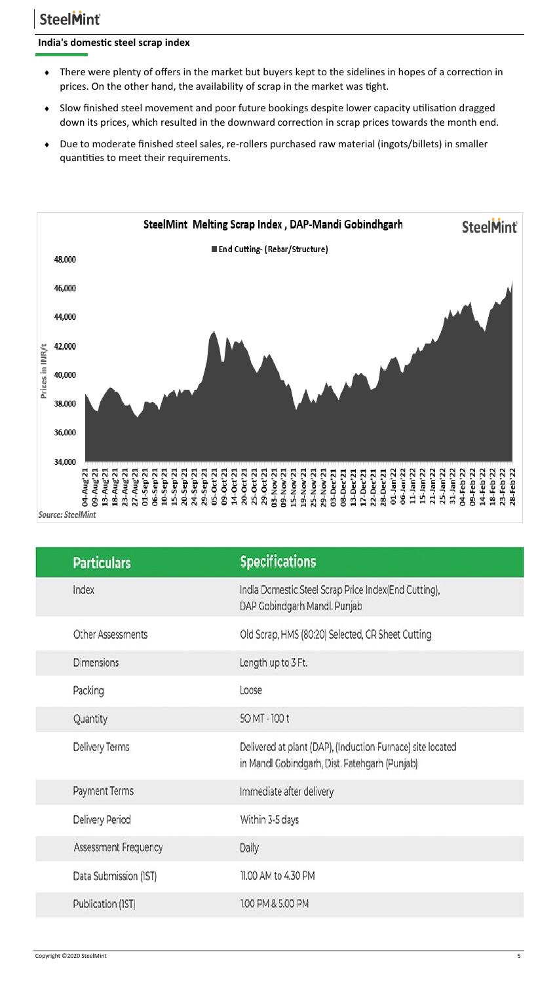#### **India's domestic steel scrap index**

- There were plenty of offers in the market but buyers kept to the sidelines in hopes of a correction in prices. On the other hand, the availability of scrap in the market was tight.
- Slow finished steel movement and poor future bookings despite lower capacity utilisation dragged down its prices, which resulted in the downward correction in scrap prices towards the month end.
- Due to moderate finished steel sales, re-rollers purchased raw material (ingots/billets) in smaller quantities to meet their requirements.



| <b>Specifications</b><br><b>Particulars</b>                                                                                   |
|-------------------------------------------------------------------------------------------------------------------------------|
| India Domestic Steel Scrap Price Index(End Cutting),<br>Index<br>DAP Gobindgarh Mandl. Punjab                                 |
| Other Assessments<br>Old Scrap, HMS (80:20) Selected, CR Sheet Cutting                                                        |
| <b>Dimensions</b><br>Length up to 3 Ft.                                                                                       |
| Packing<br>Loose                                                                                                              |
| 50 MT - 100 t<br>Quantity                                                                                                     |
| Delivery Terms<br>Delivered at plant (DAP), (Induction Furnace) site located<br>in Mandl Gobindgarh, Dist. Fatehgarh (Punjab) |
| Payment Terms<br>Immediate after delivery                                                                                     |
| Delivery Period<br>Within 3-5 days                                                                                            |
| Assessment Frequency<br>Daily                                                                                                 |
| 11.00 AM to 4.30 PM<br>Data Submission (IST)                                                                                  |
| 1.00 PM & 5.00 PM<br>Publication (IST)                                                                                        |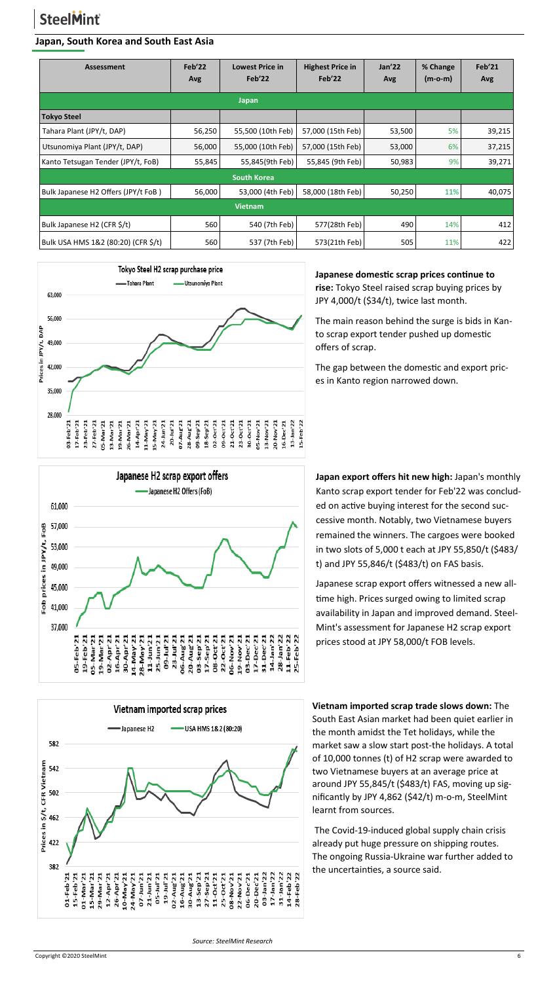#### **Japan, South Korea and South East Asia**

| <b>Assessment</b>                   | Feb'22<br>Avg | <b>Lowest Price in</b><br>Feb'22 | <b>Highest Price in</b><br>Feb'22 | Jan'22<br>Avg | % Change<br>$(m-o-m)$ | Feb'21<br>Avg |
|-------------------------------------|---------------|----------------------------------|-----------------------------------|---------------|-----------------------|---------------|
|                                     |               | <b>Japan</b>                     |                                   |               |                       |               |
| <b>Tokyo Steel</b>                  |               |                                  |                                   |               |                       |               |
| Tahara Plant (JPY/t, DAP)           | 56,250        | 55,500 (10th Feb)                | 57,000 (15th Feb)                 | 53,500        | 5%                    | 39,215        |
| Utsunomiya Plant (JPY/t, DAP)       | 56,000        | 55,000 (10th Feb)                | 57,000 (15th Feb)                 | 53,000        | 6%                    | 37,215        |
| Kanto Tetsugan Tender (JPY/t, FoB)  | 55,845        | 55,845(9th Feb)                  | 55,845 (9th Feb)                  | 50,983        | 9%                    | 39,271        |
|                                     |               | <b>South Korea</b>               |                                   |               |                       |               |
| Bulk Japanese H2 Offers (JPY/t FoB) | 56,000        | 53,000 (4th Feb)                 | 58,000 (18th Feb)                 | 50,250        | 11%                   | 40,075        |
| <b>Vietnam</b>                      |               |                                  |                                   |               |                       |               |
| Bulk Japanese H2 (CFR \$/t)         | 560           | 540 (7th Feb)                    | 577(28th Feb)                     | 490           | 14%                   | 412           |
| Bulk USA HMS 1&2 (80:20) (CFR \$/t) | 560           | 537 (7th Feb)                    | 573(21th Feb)                     | 505           | 11%                   | 422           |



Japanese H2 scrap export offers -Japanese H2 Offers (FoB) 61,000 57,000 Fob prices in JPY/t, FoB 53,000 49,000 45,000 41,000 37,000 14-May 21<br>28-May 21 05-Mar'21 09-Jul'21 23-Jul'21 03-Sep'21 31-Dec'21 25-Feb<sup>-22</sup> 05-Feb'21 19-Feb'21 19-Mar'21 02-Apr<sup>-21</sup> 16-Apr<sup>21</sup> 30-Apr<sup>21</sup> 11-Jun'21 25-Jun'21 06-Aug'21 20-Aug-21 17-Sep'21 08-Oct'21 22-Oct'21 06-Nov'21 19-Nov'21 03-Dec'21 17-Dec'21 14-Jan 22 28-Jan'22 11-Feb<sup>-22</sup>



**Japanese domestic scrap prices continue to rise:** Tokyo Steel raised scrap buying prices by JPY 4,000/t (\$34/t), twice last month.

The main reason behind the surge is bids in Kanto scrap export tender pushed up domestic offers of scrap.

The gap between the domestic and export prices in Kanto region narrowed down.

**Japan export offers hit new high:** Japan's monthly Kanto scrap export tender for Feb'22 was concluded on active buying interest for the second successive month. Notably, two Vietnamese buyers remained the winners. The cargoes were booked in two slots of 5,000 t each at JPY 55,850/t (\$483/ t) and JPY 55,846/t (\$483/t) on FAS basis.

Japanese scrap export offers witnessed a new alltime high. Prices surged owing to limited scrap availability in Japan and improved demand. Steel-Mint's assessment for Japanese H2 scrap export prices stood at JPY 58,000/t FOB levels.

**Vietnam imported scrap trade slows down:** The South East Asian market had been quiet earlier in the month amidst the Tet holidays, while the market saw a slow start post-the holidays. A total of 10,000 tonnes (t) of H2 scrap were awarded to two Vietnamese buyers at an average price at around JPY 55,845/t (\$483/t) FAS, moving up significantly by JPY 4,862 (\$42/t) m-o-m, SteelMint learnt from sources.

The Covid-19-induced global supply chain crisis already put huge pressure on shipping routes. The ongoing Russia-Ukraine war further added to the uncertainties, a source said.

 *Source: SteelMint Research*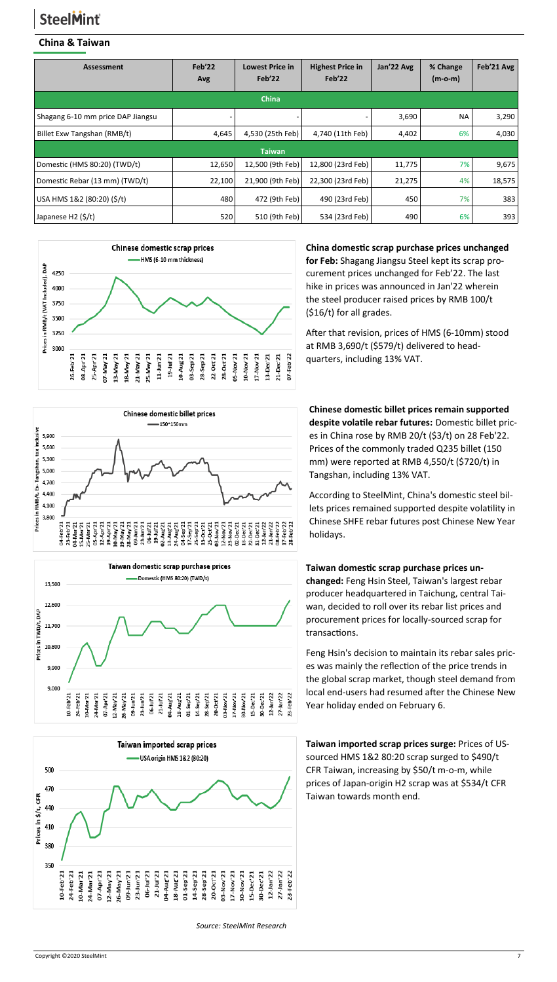#### **China & Taiwan**

| <b>Assessment</b>                 | Feb'22<br>Avg | <b>Lowest Price in</b><br>Feb'22 | <b>Highest Price in</b><br>Feb'22 | Jan'22 Avg | % Change<br>$(m-o-m)$ | Feb'21 Avg |
|-----------------------------------|---------------|----------------------------------|-----------------------------------|------------|-----------------------|------------|
|                                   |               | <b>China</b>                     |                                   |            |                       |            |
| Shagang 6-10 mm price DAP Jiangsu |               |                                  |                                   | 3,690      | NА                    | 3,290      |
| Billet Exw Tangshan (RMB/t)       | 4,645         | 4,530 (25th Feb)                 | 4,740 (11th Feb)                  | 4,402      | 6%                    | 4,030      |
|                                   |               | <b>Taiwan</b>                    |                                   |            |                       |            |
| Domestic (HMS 80:20) (TWD/t)      | 12,650        | 12,500 (9th Feb)                 | 12,800 (23rd Feb)                 | 11,775     | 7%                    | 9,675      |
| Domestic Rebar (13 mm) (TWD/t)    | 22,100        | 21,900 (9th Feb)                 | 22,300 (23rd Feb)                 | 21,275     | 4%                    | 18,575     |
| USA HMS 1&2 (80:20) (\$/t)        | 480           | 472 (9th Feb)                    | 490 (23rd Feb)                    | 450        | 7%                    | 383        |
| Japanese H2 (\$/t)                | 520           | 510 (9th Feb)                    | 534 (23rd Feb)                    | 490        | 6%                    | 393        |









#### **China domestic scrap purchase prices unchanged for Feb:** Shagang Jiangsu Steel kept its scrap procurement prices unchanged for Feb'22. The last hike in prices was announced in Jan'22 wherein the steel producer raised prices by RMB 100/t (\$16/t) for all grades.

After that revision, prices of HMS (6-10mm) stood at RMB 3,690/t (\$579/t) delivered to headquarters, including 13% VAT.

**Chinese domestic billet prices remain supported despite volatile rebar futures:** Domestic billet prices in China rose by RMB 20/t (\$3/t) on 28 Feb'22. Prices of the commonly traded Q235 billet (150 mm) were reported at RMB 4,550/t (\$720/t) in Tangshan, including 13% VAT.

According to SteelMint, China's domestic steel billets prices remained supported despite volatility in Chinese SHFE rebar futures post Chinese New Year holidays.

#### **Taiwan domestic scrap purchase prices un-**

**changed:** Feng Hsin Steel, Taiwan's largest rebar producer headquartered in Taichung, central Taiwan, decided to roll over its rebar list prices and procurement prices for locally-sourced scrap for transactions.

Feng Hsin's decision to maintain its rebar sales prices was mainly the reflection of the price trends in the global scrap market, though steel demand from local end-users had resumed after the Chinese New Year holiday ended on February 6.

**Taiwan imported scrap prices surge:** Prices of USsourced HMS 1&2 80:20 scrap surged to \$490/t CFR Taiwan, increasing by \$50/t m-o-m, while prices of Japan-origin H2 scrap was at \$534/t CFR Taiwan towards month end.

 *Source: SteelMint Research*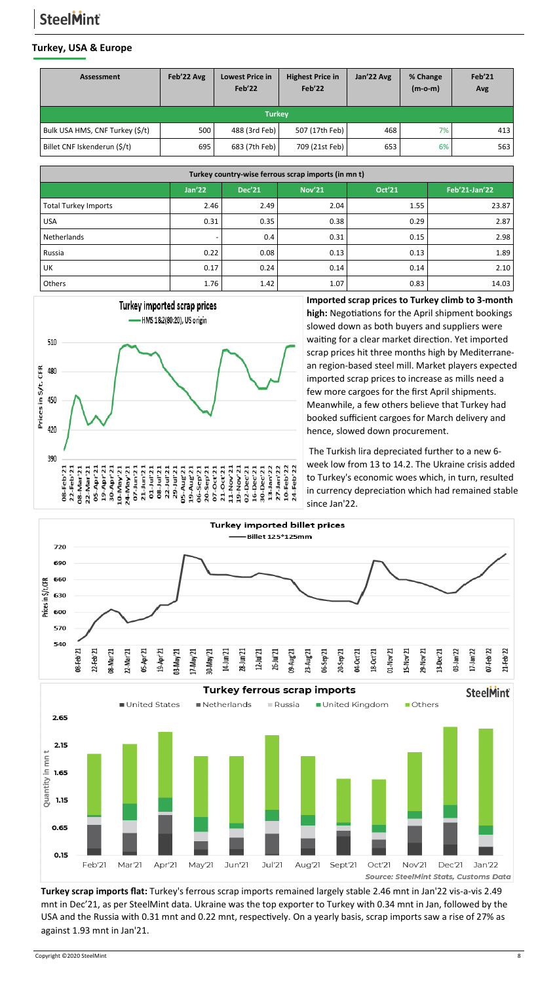#### **Turkey, USA & Europe**

| Assessment                      | Feb'22 Avg | <b>Lowest Price in</b><br>Feb'22 | <b>Highest Price in</b><br>Feb'22 | Jan'22 Avg | % Change<br>$(m-o-m)$ | Feb'21<br>Avg |  |  |
|---------------------------------|------------|----------------------------------|-----------------------------------|------------|-----------------------|---------------|--|--|
| <b>Turkey</b>                   |            |                                  |                                   |            |                       |               |  |  |
| Bulk USA HMS, CNF Turkey (\$/t) | 500        | 488 (3rd Feb)                    | 507 (17th Feb)                    | 468        | 7%                    | 413           |  |  |
| Billet CNF Iskenderun (\$/t)    | 695        | 683 (7th Feb)                    | 709 (21st Feb)                    | 653        | 6%                    | 563           |  |  |

| Turkey country-wise ferrous scrap imports (in mn t)                        |      |      |      |      |       |  |  |
|----------------------------------------------------------------------------|------|------|------|------|-------|--|--|
| Oct'21<br><b>Jan'22</b><br><b>Nov'21</b><br>Feb'21-Jan'22<br><b>Dec'21</b> |      |      |      |      |       |  |  |
| <b>Total Turkey Imports</b>                                                | 2.46 | 2.49 | 2.04 | 1.55 | 23.87 |  |  |
| <b>USA</b>                                                                 | 0.31 | 0.35 | 0.38 | 0.29 | 2.87  |  |  |
| Netherlands                                                                | ۰    | 0.4  | 0.31 | 0.15 | 2.98  |  |  |
| Russia                                                                     | 0.22 | 0.08 | 0.13 | 0.13 | 1.89  |  |  |
| UK                                                                         | 0.17 | 0.24 | 0.14 | 0.14 | 2.10  |  |  |
| Others                                                                     | 1.76 | 1.42 | 1.07 | 0.83 | 14.03 |  |  |



**Imported scrap prices to Turkey climb to 3-month high:** Negotiations for the April shipment bookings slowed down as both buyers and suppliers were waiting for a clear market direction. Yet imported scrap prices hit three months high by Mediterranean region-based steel mill. Market players expected imported scrap prices to increase as mills need a few more cargoes for the first April shipments. Meanwhile, a few others believe that Turkey had booked sufficient cargoes for March delivery and hence, slowed down procurement.

The Turkish lira depreciated further to a new 6 week low from 13 to 14.2. The Ukraine crisis added to Turkey's economic woes which, in turn, resulted in currency depreciation which had remained stable since Jan'22.



**Turkey scrap imports flat:** Turkey's ferrous scrap imports remained largely stable 2.46 mnt in Jan'22 vis-a-vis 2.49 mnt in Dec'21, as per SteelMint data. Ukraine was the top exporter to Turkey with 0.34 mnt in Jan, followed by the USA and the Russia with 0.31 mnt and 0.22 mnt, respectively. On a yearly basis, scrap imports saw a rise of 27% as against 1.93 mnt in Jan'21.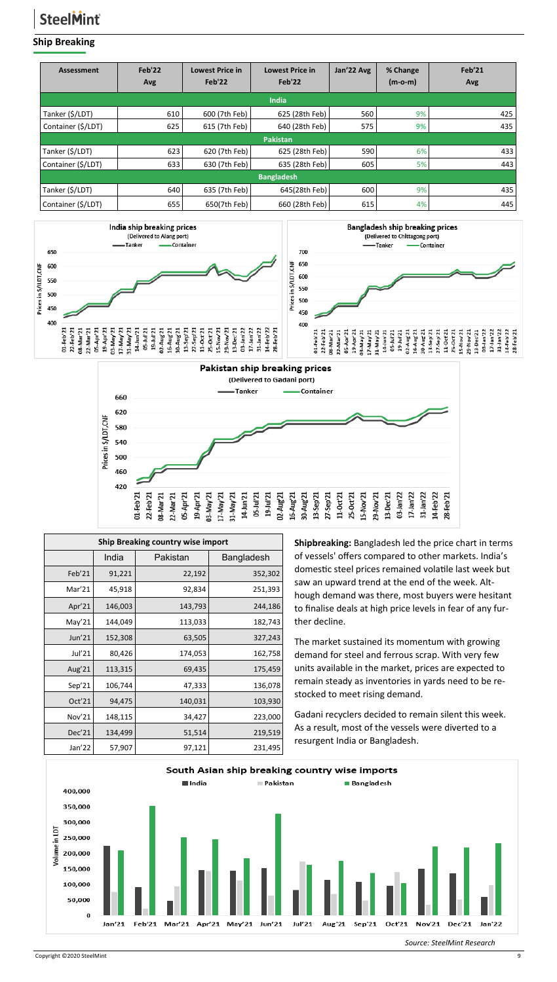#### **Ship Breaking**

| <b>Assessment</b>  | Feb'22<br>Avg     | <b>Lowest Price in</b><br>Feb'22 | <b>Lowest Price in</b><br>Feb'22 | Jan'22 Avg | % Change<br>$(m-o-m)$ | Feb'21<br>Avg |  |  |  |
|--------------------|-------------------|----------------------------------|----------------------------------|------------|-----------------------|---------------|--|--|--|
|                    | <b>India</b>      |                                  |                                  |            |                       |               |  |  |  |
| Tanker (\$/LDT)    | 610               | 600 (7th Feb)                    | 625 (28th Feb)                   | 560        | 9%                    | 425           |  |  |  |
| Container (\$/LDT) | 625               | 615 (7th Feb)                    | 640 (28th Feb)                   | 575        | 9%                    | 435           |  |  |  |
|                    |                   |                                  | <b>Pakistan</b>                  |            |                       |               |  |  |  |
| Tanker (\$/LDT)    | 623               | 620 (7th Feb)                    | 625 (28th Feb)                   | 590        | 6%                    | 433           |  |  |  |
| Container (\$/LDT) | 633               | 630 (7th Feb)                    | 635 (28th Feb)                   | 605        | 5%                    | 443           |  |  |  |
|                    | <b>Bangladesh</b> |                                  |                                  |            |                       |               |  |  |  |
| Tanker (\$/LDT)    | 640               | 635 (7th Feb)                    | 645(28th Feb)                    | 600        | 9%                    | 435           |  |  |  |
| Container (\$/LDT) | 655               | 650(7th Feb)                     | 660 (28th Feb)                   | 615        | 4%                    | 445           |  |  |  |





| <b>Ship Breaking country wise import</b> |         |          |            |  |  |  |  |
|------------------------------------------|---------|----------|------------|--|--|--|--|
|                                          | India   | Pakistan | Bangladesh |  |  |  |  |
| Feb'21                                   | 91,221  | 22,192   | 352,302    |  |  |  |  |
| Mar'21                                   | 45,918  | 92,834   | 251,393    |  |  |  |  |
| Apr'21                                   | 146,003 | 143,793  | 244,186    |  |  |  |  |
| May'21                                   | 144,049 | 113,033  | 182,743    |  |  |  |  |
| Jun'21                                   | 152,308 | 63,505   | 327,243    |  |  |  |  |
| Jul'21                                   | 80,426  | 174,053  | 162,758    |  |  |  |  |
| Aug $21$                                 | 113,315 | 69,435   | 175,459    |  |  |  |  |
| Sep'21                                   | 106,744 | 47,333   | 136,078    |  |  |  |  |
| Oct'21                                   | 94,475  | 140,031  | 103,930    |  |  |  |  |
| Nov'21                                   | 148,115 | 34,427   | 223,000    |  |  |  |  |
| Dec'21                                   | 134,499 | 51,514   | 219,519    |  |  |  |  |
| Jan'22                                   | 57,907  | 97,121   | 231,495    |  |  |  |  |

**Shipbreaking:** Bangladesh led the price chart in terms of vessels' offers compared to other markets. India's domestic steel prices remained volatile last week but saw an upward trend at the end of the week. Although demand was there, most buyers were hesitant to finalise deals at high price levels in fear of any further decline.

The market sustained its momentum with growing demand for steel and ferrous scrap. With very few units available in the market, prices are expected to remain steady as inventories in yards need to be restocked to meet rising demand.

Gadani recyclers decided to remain silent this week. As a result, most of the vessels were diverted to a resurgent India or Bangladesh.



*Source: SteelMint Research*